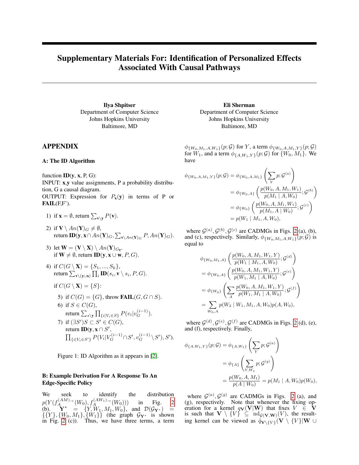# <span id="page-0-0"></span>Supplementary Materials For: Identification of Personalized Effects Associated With Causal Pathways

Ilya Shpitser Department of Computer Science Johns Hopkins University Baltimore, MD

# APPENDIX

#### A: The ID Algorithm

function  $ID(y, x, P, G)$ :

INPUT: x,y value assignments, P a probability distribution, G a causal diagram.

OUTPUT: Expression for  $P_x(y)$  in terms of P or  $\textbf{FAIL}(F,F')$ .

1) if 
$$
\mathbf{x} = \emptyset
$$
, return  $\sum_{\mathbf{v} \setminus \mathbf{y}} P(\mathbf{v})$ .

- 2) if  $\mathbf{V} \setminus An(\mathbf{Y})_G \neq \emptyset$ , return  ${\bf ID}({\bf y}, {\bf x} \cap An({\bf Y})_G, \sum_{{\bf v}\setminus An({\bf Y})_G}P, An({\bf Y})_G).$
- 3) let  $\mathbf{W} = (\mathbf{V} \setminus \mathbf{X}) \setminus An(\mathbf{Y})_{G_{\overline{\mathbf{x}}}}$ . if  $W \neq \emptyset$ , return **ID**(y, **x** ∪ **w**, *P*, *G*).
- 4) if  $C(G \setminus \mathbf{X}) = \{S_1, ..., S_k\},\$ return  $\sum_{\mathbf{v} \setminus (\mathbf{y} \cup \mathbf{x})} \prod_i \mathbf{ID}(s_i, \mathbf{v} \setminus s_i, P, G).$ 
	- if  $C(G \setminus \mathbf{X}) = \{S\}$ :
	- 5) if  $C(G) = \{G\}$ , throw **FAIL** $(G, G \cap S)$ . 6) if  $S \in C(G)$ , return  $\sum_{s\setminus \mathbf y} \prod_{\{i\mid V_i \in S\}} P(v_i|v_G^{(i-1)}).$ 7) if  $(\exists S')S \subset S' \in C(G)$ , return **ID**(**y**, **x**  $\cap$  *S'*,  $\prod_{\{i\mid V_i\in S'\}}P(V_i|V_G^{(i-1)}\cap S',v_G^{(i-1)}\setminus S'),S').$

Figure 1: ID Algorithm as it appears in [\[2\]](#page-6-0).

### B: Example Derivation For A Response To An Edge-Specific Policy

We seek to identify the distribution  $p(Y(f_A^{(AM)}\rightarrow(W_0), f_A^{(AW_1)}\rightarrow(W_0)))$  in Fig. [2](#page-3-0) (b).  $\mathbf{Y}^* = \{Y, W_1, M_1, W_0\}$ , and  $\mathcal{D}(\mathcal{G}_{\mathbf{Y}^*}) =$  $\{\{Y\}, \{W_0, M_1\}, \{W_1\}\}\$  (the graph  $\mathcal{G}_{\mathbf{Y}^*}$  is shown in Fig. [2](#page-3-0) (c)). Thus, we have three terms, a term

Eli Sherman Department of Computer Science Johns Hopkins University Baltimore, MD

 $\phi_{\{W_0,M_1,A,W_1\}}(p;\mathcal{G})$  for Y, a term  $\phi_{\{W_0,A,M_1,Y\}}(p;\mathcal{G})$ for  $W_1$ , and a term  $\phi_{\{A,W_1,Y\}}(p;\mathcal{G})$  for  $\{W_0, M_1\}$ . We have

$$
\phi_{\{W_0, A, M_1, Y\}}(p; \mathcal{G}) = \phi_{\{W_0, A, M_1\}}\left(\sum_{Y} p; \mathcal{G}^{(a)}\right)
$$
  
=  $\phi_{\{W_0, A\}}\left(\frac{p(W_0, A, M_1, W_1)}{p(M_1 \mid A, W_0)}; \mathcal{G}^{(b)}\right)$   
=  $\phi_{\{W_0\}}\left(\frac{p(W_0, A, M_1, W_1)}{p(M_1, A \mid W_0)}; \mathcal{G}^{(c)}\right)$   
=  $p(W_1 \mid M_1, A, W_0),$ 

where  $\mathcal{G}^{(a)}$ ,  $\mathcal{G}^{(b)}$ ,  $\mathcal{G}^{(c)}$  are CADMGs in Figs. [2](#page-1-0) (a), (b), and (c), respectively. Similarly,  $\phi_{\{W_0, M_1, A, W_1\}}(p; \mathcal{G})$  is equal to

$$
\phi_{\{W_0, M_1, A\}}\left(\frac{p(W_0, A, M_1, W_1, Y)}{p(W_1 | M_1, A, W_0)}; \mathcal{G}^{(d)}\right)
$$
\n
$$
= \phi_{\{W_0, A\}}\left(\frac{p(W_0, A, M_1, W_1, Y)}{p(W_1, M_1 | A, W_0)}; \mathcal{G}^{(e)}\right)
$$
\n
$$
= \phi_{\{W_0\}}\left(\sum_A \frac{p(W_0, A, M_1, W_1, Y)}{p(W_1, M_1 | A, W_0)}; \mathcal{G}^{(f)}\right)
$$
\n
$$
= \sum_{W_0, A} p(W_2 | W_1, M_1, A, W_0)p(A, W_0),
$$

where  $\mathcal{G}^{(d)}, \mathcal{G}^{(e)}, \mathcal{G}^{(f)}$  are CADMGs in Figs. [2](#page-1-0) (d), (e), and (f), respectively. Finally,

$$
\phi_{\{A, W_1, Y\}}(p; \mathcal{G}) = \phi_{\{A, W_1\}}\left(\sum_{Y} p; \mathcal{G}^{(a)}\right)
$$

$$
= \phi_{\{A\}}\left(\sum_{Y, W_1} p; \mathcal{G}^{(g)}\right)
$$

$$
= \frac{p(W_0, A, M_1)}{p(A \mid W_0)} = p(M_1 \mid A, W_0)p(W_0),
$$

where  $G^{(a)}$ ,  $G^{(g)}$  are CADMGs in Figs. [2](#page-1-0) (a), and (g), respectively. Note that whenever the fixing operation for a kernel  $q_V(V|W)$  that fixes  $V \in V$ is such that  $V \setminus \{V\} \subseteq \text{nd}_{\mathcal{G}(\mathbf{V},\mathbf{W})}(V)$ , the resulting kernel can be viewed as  $\tilde{q}_{V\setminus\{V\}}(V \setminus \{V\}|\mathbf{W} \cup$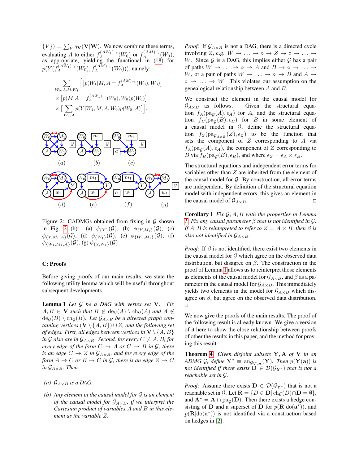${V}$ ) =  $\sum_{V} q_{V}(V|W)$ . We now combine these terms, evaluating A to either  $f_A^{(AW_1)\rightarrow}(W_0)$  or  $f_A^{(AM)\rightarrow}(W_0)$ , as appropriate, yielding the functional in [\(18\)](#page-0-0) for  $p(Y(f_A^{(AW_1)\rightarrow}(W_0), f_A^{(AM)\rightarrow}(W_0))),$  namely:

$$
\sum_{W_0, A, M, W_1} \left[ \left[ p(W_1 | M, A = f_A^{(AM)} \to (W_0), W_0) \right] \times \left[ p(M | A = f_A^{(AW_1)} \to (W_0), W_0) p(W_0) \right] \times \left[ \sum_{W_0, A} p(Y | W_1, M, A, W_0) p(W_0, A) \right] \right].
$$

<span id="page-1-0"></span>

Figure 2: CADMGs obtained from fixing in  $\mathcal G$  shown in Fig. [2](#page-3-0) (b): (a)  $\phi_{\{Y\}}(\mathcal{G})$ , (b)  $\phi_{\{Y,M_1\}}(\mathcal{G})$ , (c)  $\phi_{\{Y,M_1,A\}}(\mathcal{G})$ , (d)  $\phi_{\{W_1\}}(\mathcal{G})$ , (e)  $\phi_{\{W_1,M_1\}}(\mathcal{G})$ , (f)  $\phi_{W_1,M_1,A}(\mathcal{G}),$  (g)  $\phi_{Y,W_1}(\mathcal{G}).$ 

#### C: Proofs

Before giving proofs of our main results, we state the following utility lemma which will be useful throughout subsequent developments.

<span id="page-1-1"></span>Lemma 1 *Let* G *be a DAG with vertex set* V*. Fix*  $A, B \in V$  *such that*  $B \notin \text{deg}(A) \setminus \text{ch}_G(A)$  *and*  $A \notin$  $deg(B) \setminus ch_G(B)$ *. Let*  $\mathcal{G}_{A \times B}$  *be a directed graph containing vertices*  $(V \setminus \{A, B\}) \cup Z$ *, and the following set of edges. First, all edges between vertices in*  $V \setminus \{A, B\}$ *in* G also are in  $\mathcal{G}_{A\times B}$ *. Second, for every*  $C \neq A, B$ *, for every edge of the form*  $C \rightarrow A$  *or*  $C \rightarrow B$  *in*  $\mathcal{G}$ *, there is an edge*  $C \rightarrow Z$  *in*  $\mathcal{G}_{A \times B}$ *, and for every edge of the form*  $A \to C$  *or*  $B \to C$  *in*  $\mathcal{G}$ *, there is an edge*  $Z \to C$ *in*  $\mathcal{G}_{A \times B}$ *. Then* 

- *(a)*  $\mathcal{G}_{A\times B}$  *is a DAG.*
- *(b) Any element in the causal model for* G *is an element of the causal model for*  $G_{A \times B}$ *, if we interpret the Cartesian product of variables* A *and* B *in this element as the variable* Z*.*

*Proof:* If  $\mathcal{G}_{A \times B}$  is not a DAG, there is a directed cycle involving Z, e.g.  $W \to \dots \to \circ \to Z \to \circ \to \dots \to$ W. Since  $\mathcal G$  is a DAG, this implies either  $\mathcal G$  has a pair of paths  $W \to \ldots \to \circ \to A$  and  $B \to \circ \to \ldots \to$ W, or a pair of paths  $W \to \ldots \to \circ \to B$  and  $A \to$  $\circ \rightarrow \dots \rightarrow W$ . This violates our assumption on the genealogical relationship between A and B.

We construct the element in the causal model for  $\mathcal{G}_{A\times B}$  as follows. Given the structural equation  $f_A(\text{pa}_\mathcal{G}(A), \epsilon_A)$  for A, and the structural equation  $f_B(\text{pa}_G(B), \epsilon_B)$  for B in some element of a causal model in  $G$ , define the structural equation  $f_Z(\text{pa}_{\mathcal{G}_{A\times B}}(Z), \epsilon_Z)$  to be the function that sets the component of  $Z$  corresponding to  $A$  via  $f_A(\text{pa}_\mathcal{G}(A), \epsilon_A)$ , the component of Z corresponding to B via  $f_B(pag(B), \epsilon_B)$ , and where  $\epsilon_Z = \epsilon_A \times \epsilon_B$ .

The structural equations and independent error terms for variables other than Z are inherited from the element of the causal model for  $G$ . By construction, all error terms are independent. By definition of the structural equation model with independent errors, this gives an element in the causal model of  $\mathcal{G}_{A\times B}$ .

<span id="page-1-2"></span>Corollary 1 *Fix* G, A, B *with the properties in Lemma [1.](#page-1-1) Fix any causal parameter* β *that is not identified in* G*. If*  $A, B$  *is reintepreted to refer to*  $Z = A \times B$ *, then*  $\beta$  *is also not identified in*  $\mathcal{G}_{A \times B}$ *.* 

*Proof:* If  $\beta$  is not identified, there exist two elements in the causal model for  $G$  which agree on the observed data distribution, but disagree on  $\beta$ . The construction in the proof of Lemma [1](#page-1-1) allows us to reinterpret those elements as elements of the causal model for  $\mathcal{G}_{A\times B}$ , and  $\beta$  as a parameter in the causal model for  $\mathcal{G}_{A\times B}$ . This immediately yields two elements in the model for  $\mathcal{G}_{A\times B}$  which disagree on  $\beta$ , but agree on the observed data distribution.  $\Box$ 

We now give the proofs of the main results. The proof of the following result is already known. We give a version of it here to show the close relationship between proofs of other the results in this paper, and the method for proving this result.

Theorem [4](#page-0-0) *Given disjoint subsets* Y, A *of* V *in an ADMG* G, define  $Y^* \equiv \text{ang}_{V \setminus A}(Y)$ *. Then*  $p(Y(a))$  *is not identified if there exists*  $\mathbf{D} \in \mathcal{D}(\mathcal{G}_{\mathbf{Y}^*})$  *that is not a reachable set in* G*.*

*Proof:* Assume there exists  $D \in \mathcal{D}(\mathcal{G}_{V^*})$  that is not a reachable set in G. Let  $\mathbf{R} = \{D \in \mathbf{D} | \text{ch}_G(D) \cap \mathbf{D} = \emptyset\},\$ and  $\mathbf{A}^* = \mathbf{A} \cap \text{pa}_{\mathcal{G}}(\mathbf{D})$ . Then there exists a hedge consisting of **D** and a superset of **D** for  $p(\mathbf{R}|\text{do}(\mathbf{a}^*))$ , and  $p(\mathbf{R}|\text{do}(\mathbf{a}^*))$  is not identified via a construction based on hedges in [\[2\]](#page-6-0).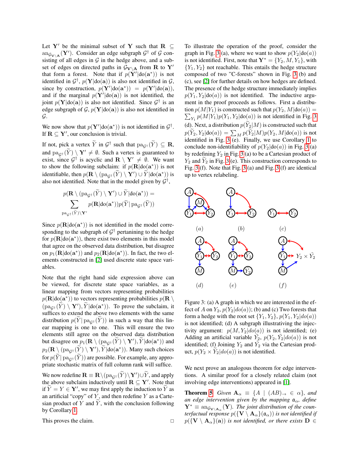Let Y' be the minimal subset of Y such that R  $\subset$  $\mathrm{an}_{\mathcal{G}_{\mathbf{V}\setminus\mathbf{A}}}(\mathbf{Y}')$ . Consider an edge subgraph  $\mathcal{G}^{\dagger}$  of  $\mathcal G$  consisting of all edges in  $G$  in the hedge above, and a subset of edges on directed paths in  $\mathcal{G}_{V\setminus A}$  from R to Y' that form a forest. Note that if  $p(Y'|do(a^*))$  is not identified in  $\mathcal{G}^{\dagger}$ ,  $p(\mathbf{Y}|\text{do}(\mathbf{a}))$  is also not identified in  $\mathcal{G}$ , since by construction,  $p(Y'|do(a^*)) = p(Y'|do(a)),$ and if the marginal  $p(Y'|do(a))$  is not identified, the joint  $p(Y|do(a))$  is also not identified. Since  $\mathcal{G}^{\dagger}$  is an edge subgraph of  $G, p(Y|do(a))$  is also not identified in  $\mathcal{G}.$ 

We now show that  $p(Y'|do(a^*))$  is not identified in  $\mathcal{G}^{\dagger}$ . If  $\mathbf{R} \subseteq \mathbf{Y}'$ , our conclusion is trivial.

If not, pick a vertex  $\tilde{Y}$  in  $\mathcal{G}^{\dagger}$  such that  $\text{pa}_{\mathcal{G}^{\dagger}}(\tilde{Y}) \subseteq \mathbf{R}$ , and  $\text{pa}_{G^{\dagger}}(\widetilde{Y}) \setminus Y' \neq \emptyset$ . Such a vertex is guaranteed to exist, since  $\mathcal{G}^{\dagger}$  is acyclic and  $\mathbf{R} \setminus \mathbf{Y}' \neq \emptyset$ . We want to show the following subclaim: if  $p(\mathbf{R}|\text{do}(\mathbf{a}^*))$  is not identifiable, then  $p(\mathbf{R} \setminus (pa_{\mathcal{G}^{\dagger}}(\widetilde{Y}) \setminus \mathbf{Y}') \cup \widetilde{Y}|do(a^*) )$  is also not identified. Note that in the model given by  $\mathcal{G}^{\dagger}$ ,

$$
p(\mathbf{R}\setminus(\text{pa}_{\mathcal{G}^{\dagger}}(\widetilde{Y})\setminus\mathbf{Y}')\cup\widetilde{Y}|\text{do}(\mathbf{a}^*))=\\ \sum_{\text{pa}_{\mathcal{G}^{\dagger}}(\widetilde{Y})\setminus\mathbf{Y}'}p(\mathbf{R}|\text{do}(\mathbf{a}^*))p(\widetilde{Y}|\text{pa}_{\mathcal{G}^{\dagger}}(\widetilde{Y}))
$$

Since  $p(\mathbf{R}|\text{do}(\mathbf{a}^*))$  is not identified in the model corresponding to the subgraph of  $\mathcal{G}^{\dagger}$  pertanining to the hedge for  $p(\mathbf{R}|\text{do}(\mathbf{a}^*))$ , there exist two elements in this model that agree on the observed data distribution, but disagree on  $p_1(\mathbf{R}|\text{do}(\mathbf{a}^*))$  and  $p_2(\mathbf{R}|\text{do}(\mathbf{a}^*))$ . In fact, the two elements constructed in [\[2\]](#page-6-0) used discrete state space variables.

Note that the right hand side expression above can be viewed, for discrete state space variables, as a linear mapping from vectors representing probabilities  $p(\mathbf{R}|\text{do}(\mathbf{a}^*))$  to vectors representing probabilities  $p(\mathbf{R} \setminus \mathbf{a})$  $(\text{pa}_{\mathcal{G}^{\dagger}}(\tilde{Y}) \setminus \mathbf{Y}'), \tilde{Y} | \text{do}(\mathbf{a}^*)$ ). To prove the subclaim, it suffices to extend the above two elements with the same distribution  $p(Y|pa_{C^{\dagger}}(Y))$  in such a way that this linear mapping is one to one. This will ensure the two elements still agree on the observed data distribution but disagree on  $p_1(\mathbf{R} \setminus (\text{pa}_{\mathcal{G}^\dagger}(\widetilde{Y}) \setminus \mathbf{Y}'), \widetilde{Y} | \text{do}(\mathbf{a}^*))$  and  $p_2(\mathbf{R} \setminus (\text{pa}_{\mathcal{G}^\dagger}(\widetilde{Y}) \setminus \mathbf{Y}'), \widetilde{Y} | \text{do}(\mathbf{a}^*)$ ). Many such choices for  $p(Y|pa_{G^{\dagger}}(Y))$  are possible. For example, any appropriate stochastic matrix of full column rank will suffice.

We now redefine  $\mathbf{R} \equiv \mathbf{R} \setminus (p a_{\mathcal{G}^{\dagger}}(\tilde{Y}) \setminus \mathbf{Y}') \cup \tilde{Y}$ , and apply the above subclaim inductively until  $\mathbf{R} \subseteq \mathbf{Y}'$ . Note that if  $\widetilde{Y} = Y \in \mathbf{Y}'$ , we may first apply the induction to  $\widetilde{Y}$  as an artificial "copy" of  $Y$ , and then redefine  $Y$  as a Cartesian product of Y and  $\tilde{Y}$ , with the conclusion following by Corollary [1.](#page-1-2)

This proves the claim.

To illustrate the operation of the proof, consider the graph in Fig. [3](#page-2-0) (a), where we want to show  $p(Y_2|do(a))$ is not identified. First, note that  $Y^* = \{Y_2, M, Y_1\}$ , with  ${Y_1, Y_2}$  not reachable. This entails the hedge structure composed of two "C-forests" shown in Fig. [3](#page-2-0) (b) and (c), see [\[2\]](#page-6-0) for further details on how hedges are defined. The presence of the hedge structure immediately implies  $p(Y_1, Y_2 | do(a))$  is not identified. The inductive argument in the proof proceeds as follows. First a distribu- $\sum_{Y_1} p(M|Y_1) p(Y_1, Y_2 | \text{do}(a))$  is not identified in Fig. [3](#page-2-0) tion  $p(M|Y_1)$  is constructed such that  $p(Y_2, M | do(a)) =$ (d). Next, a distribution  $p(Y_2|M)$  is constructed such that  $p(Y_2, Y_2 | \text{do}(a)) = \sum_M p(Y_2 | M) p(Y_2, M | \text{do}(a))$  is not identified in Fig. [3](#page-2-0) (e). Finally, we use Corollary [1](#page-1-2) to conclude non-identifiability of  $p(Y_2|do(a))$  in Fig. [3](#page-2-0) (a) by redefining  $Y_2$  in Fig. [3](#page-2-0) (a) to be a Cartesian product of  $Y_2$  and  $Y_2$  in Fig. [3](#page-2-0) (e). This construction corresponds to Fig. [3](#page-2-0) (f). Note that Fig. [3](#page-2-0) (a) and Fig. [3](#page-2-0) (f) are identical up to vertex relabeling.

<span id="page-2-0"></span>

Figure 3: (a) A graph in which we are interested in the effect of A on  $Y_2$ ,  $p(Y_2|do(a))$ ; (b) and (c) Two forests that form a hedge with the root set  $\{Y_1, Y_2\}$ ,  $p(Y_1, Y_2|do(a))$ is not identified; (d) A subgraph illustrativing the injectivity argument:  $p(M, Y_2|do(a))$  is not identified; (e) Adding an artificial variable  $\tilde{Y}_2$ ,  $p(Y_2, \tilde{Y}_2|do(a))$  is not identified; (f) Joining  $Y_2$  and  $\tilde{Y_2}$  via the Cartesian product,  $p(Y_2 \times Y_2|do(a))$  is not identified.

We next prove an analogous theorem for edge interventions. A similar proof for a closely related claim (not involving edge interventions) appeared in [\[1\]](#page-6-1).

**Theorem [5](#page-0-0)** *Given*  $A_{\alpha} \equiv \{A \mid (AB)_{\rightarrow} \in \alpha\}$ *, and an edge intervention given by the mapping*  $a_{\alpha}$ *, define*  $Y^* \equiv \text{ang}_{V \setminus A_\alpha}(Y)$ *. The joint distribution of the counterfactual response*  $p(\{\mathbf{V} \setminus \mathbf{A}_{\alpha}\}(\mathfrak{a}_{\alpha}))$  *is not identified if*  $p({\bf{V} \setminus A}_\alpha({\bf{a}}))$  *is not identified, or there exists*  ${\bf{D}} \in$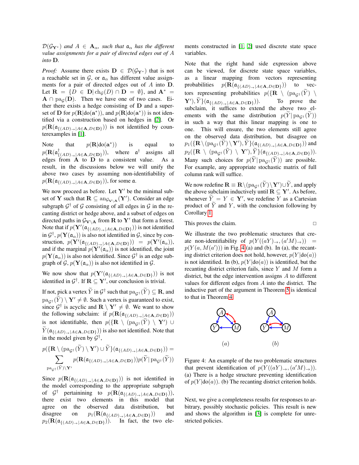$\mathcal{D}(\mathcal{G}_{Y^*})$  *and*  $A \in \mathbf{A}_{\alpha}$ *, such that*  $\mathfrak{a}_{\alpha}$  *has the different value assignments for a pair of directed edges out of* A *into* D*.*

*Proof:* Assume there exists  $D \in \mathcal{D}(\mathcal{G}_{Y^*})$  that is not a reachable set in  $\mathcal{G}$ , or  $\mathfrak{a}_{\alpha}$  has different value assignments for a pair of directed edges out of A into D. Let  $\mathbf{R} = \{D \in \mathbf{D} | \text{ch}_G(D) \cap \mathbf{D} = \emptyset\}$ , and  $\mathbf{A}^* =$  $A \cap pa_G(D)$ . Then we have one of two cases. Either there exists a hedge consisting of D and a superset of **D** for  $p(\mathbf{R}|\text{do}(\mathbf{a}^*))$ , and  $p(\mathbf{R}|\text{do}(\mathbf{a}^*))$  is not identified via a construction based on hedges in [\[2\]](#page-6-0). Or  $p(\mathbf{R}(\mathfrak{a}_{\{(AD)_{\rightarrow}|A\in\mathbf{A},D\in\mathbf{D}\}}))$  is not identified by counterexamples in [\[1\]](#page-6-1).

Note that  $p(\mathbf{R}|\text{do}(\mathbf{a}^*)$ )) is equal to  $p(\mathbf{R}(\mathfrak{a}^\dagger_f$  $^{\dagger}_{\{(AD) \rightarrow | A \in \mathbf{A}, D \in \mathbf{D}\}})$ ), where  $\mathfrak{a}^{\dagger}$ assigns all edges from A to D to a consistent value. As a result, in the discussions below we will unify the above two cases by assuming non-identifiability of  $p(\mathbf{R}(\mathfrak{a}_{\{(AD)_{\rightarrow}\} | A \in \mathbf{A}, D \in \mathbf{D}\})$ , for some a.

We now proceed as before. Let  $Y'$  be the minimal subset of **Y** such that  $\mathbf{R} \subseteq \mathrm{an}_{\mathcal{G}_{\mathbf{V} \setminus \mathbf{A}}}(\mathbf{Y}^{\prime}).$  Consider an edge subgraph  $\mathcal{G}^{\dagger}$  of  $\mathcal G$  consisting of all edges in  $\mathcal G$  in the recanting district or hedge above, and a subset of edges on directed paths in  $\mathcal{G}_{\mathbf{V} \setminus \mathbf{A}}$  from **R** to **Y**<sup> $\prime$ </sup> that form a forest. Note that if  $p(Y'(\mathfrak{a}_{\{(AD)_{\rightarrow} | A \in \mathbf{A}, D \in \mathbf{D}\}}))$  is not identified in  $\mathcal{G}^{\dagger}$ ,  $p(\mathbf{Y}(\mathfrak{a}_{\alpha}))$  is also not identified in  $\mathcal{G}$ , since by construction,  $p(\mathbf{Y}'(\mathfrak{a}_{\{(AD)_{\rightarrow} | A \in \mathbf{A}, D \in \mathbf{D}\}})) = p(\mathbf{Y}'(\mathfrak{a}_{\alpha})),$ and if the marginal  $p(\mathbf{Y}'(\mathfrak{a}_{\alpha}))$  is not identified, the joint  $p(\mathbf{Y}(\mathfrak{a}_{\alpha}))$  is also not identified. Since  $\mathcal{G}^{\dagger}$  is an edge subgraph of  $\mathcal{G}, p(\mathbf{Y}(\mathfrak{a}_{\alpha}))$  is also not identified in  $\mathcal{G}$ .

We now show that  $p(Y'(\mathfrak{a}_{\{(AD)_{\rightarrow}|A\in\mathbf{A},D\in\mathbf{D}\}}))$  is not identified in  $\mathcal{G}^{\dagger}$ . If  $\mathbf{R} \subseteq \mathbf{Y}'$ , our conclusion is trivial.

If not, pick a vertex  $\widetilde{Y}$  in  $\mathcal{G}^{\dagger}$  such that  $\text{pa}_{\mathcal{G}^{\dagger}}(\widetilde{Y}) \subseteq \mathbf{R}$ , and  $pa_{G^{\dagger}}(\widetilde{Y}) \setminus Y' \neq \emptyset$ . Such a vertex is guaranteed to exist, since  $\mathcal{G}^{\dagger}$  is acyclic and  $\mathbf{R} \setminus \mathbf{Y}' \neq \emptyset$ . We want to show the following subclaim: if  $p(\mathbf{R}(\mathfrak{a}_{\{(AD) \rightarrow} | A \in \mathbf{A}, D \in \mathbf{D}\})$ ) is not identifiable, then  $p(\{R \setminus (pa_{\mathcal{G}^{\dagger}}(\widetilde{Y}) \setminus Y') \cup$  $Y(\mathfrak{a}_{\{(AD)_{\rightarrow}|A\in\mathbf{A},D\in\mathbf{D}\}})$  is also not identified. Note that in the model given by  $\mathcal{G}^{\dagger}$ ,

$$
p(\{\mathbf{R}\setminus(\text{pa}_{\mathcal{G}^{\dagger}}(\widetilde{Y})\setminus\mathbf{Y}')\cup\widetilde{Y}\}(\mathfrak{a}_{\{(AD)_{\rightarrow}|A\in\mathbf{A},D\in\mathbf{D}\}}))=
$$
  

$$
\sum_{\text{pa}_{\mathcal{G}^{\dagger}}(\widetilde{Y})\setminus\mathbf{Y}'}p(\mathbf{R}(\mathfrak{a}_{\{(AD)_{\rightarrow}|A\in\mathbf{A},D\in\mathbf{D}\}}))p(\widetilde{Y}|\text{pa}_{\mathcal{G}^{\dagger}}(\widetilde{Y}))
$$

Since  $p(\mathbf{R}(\mathfrak{a}_{\{(AD) \to \exists A \in \mathbf{A}, D \in \mathbf{D}\}}))$  is not identified in the model corresponding to the appropriate subgraph of  $\mathcal{G}^{\dagger}$  pertainining to  $p(\mathbf{R}(\mathfrak{a}_{\{(AD)_{\rightarrow}|A\in\mathbf{A},D\in\mathbf{D}\}}))$ , there exist two elements in this model that agree on the observed data distribution, but disagree on  $p_1(\mathbf{R}(\mathfrak{a}_{\{(AD)_{\rightarrow}|A\in\mathbf{A},D\in\mathbf{D}\}}))$  and  $p_2(\mathbf{R}(\mathfrak{a}_{\{(AD) \to \exists A \in \mathbf{A}, D \in \mathbf{D}\}}))$ . In fact, the two elements constructed in [\[1,](#page-6-1) [2\]](#page-6-0) used discrete state space variables.

Note that the right hand side expression above can be viewed, for discrete state space variables, as a linear mapping from vectors representing probabilities  $p(\mathbf{R}(\mathfrak{a}_{\{(AD) \to \exists A \in \mathbf{A}, D \in \mathbf{D}\}}))$  to vectors representing probabilities  $p(\{\mathbf{R} \setminus (pa_{\mathcal{G}^{\dagger}}(\tilde{Y}) \setminus \mathbf{Y}'), \tilde{Y}\}(a_{\mathcal{G}(AD), \mathcal{A} \in \mathbf{A} \setminus D \in \mathbf{D}})).$  To prove the  $\{Y',\tilde{Y}\}(\mathfrak{a}_{\{(AD)_{\rightarrow}|A\in\mathbf{A},D\in\mathbf{D}\}})$ . To prove the subclaim, it suffices to extend the above two elements with the same distribution  $p(Y|pa_{G^{\dagger}}(Y))$ in such a way that this linear mapping is one to one. This will ensure, the two elements still agree on the observed data distribution, but disagree on  $p_1(\{\mathbf{R}\setminus(\text{pa}_{\mathcal{G}^\dagger}(\widetilde{Y})\setminus\mathbf{Y}'),\widetilde{Y}\}(\mathfrak{a}_{\{(AD)_{\rightarrow}|A\in\mathbf{A},D\in\mathbf{D}\}}))$  and  $p_2(\{\mathbf{R} \setminus (pa_{\mathcal{G}^\dagger}(\widetilde{Y}) \setminus \mathbf{Y}'), \widetilde{Y}\}(\mathfrak{a}_{\{(AD) \to \exists A \in \mathbf{A}, D \in \mathbf{D}\}})).$ Many such choices for  $p(Y|pa_{G^{\dagger}}(Y))$  are possible. For example, any appropriate stochastic matrix of full column rank will suffice.

We now redefine  $\mathbf{R} \equiv \mathbf{R} \setminus (p a_{\mathcal{G}^{\dagger}}(\tilde{Y}) \setminus Y') \cup \tilde{Y}$ , and apply the above subclaim inductively until  $\mathbf{R} \subseteq \mathbf{Y}'$ . As before, whenever  $\widetilde{Y} = Y \in \mathbf{Y}'$ , we redefine Y as a Cartesian product of  $Y$  and  $Y$ , with the conclusion following by Corollary [1.](#page-1-2)

This proves the claim.

We illustrate the two problematic structures that create non-identifiability of  $p(Y((aY)_{\rightarrow}, (a'M)_{\rightarrow}))$  =  $p(Y(a, M(a')))$  in Fig. [4](#page-3-0) (a) and (b). In (a), the recanting district criterion does not hold, however,  $p(Y | \text{do}(a))$ is not identified. In (b),  $p(Y|do(a))$  is identified, but the recanting district criterion fails, since Y and M form a district, but the edge intervention assigns A to different values for different edges from A into the district. The inductive part of the argument in Theorem [5](#page-0-0) is identical to that in Theorem [4.](#page-0-0)

<span id="page-3-0"></span>

Figure 4: An example of the two problematic structures that prevent identification of  $p(Y((aY)_{\rightarrow}, (a'M)_{\rightarrow})).$ (a) There is a hedge structure preventing identification of  $p(Y|do(a))$ . (b) The recanting district criterion holds.

Next, we give a completeness results for responses to arbitrary, possibly stochastic policies. This result is new and shows the algorithm in [\[3\]](#page-6-2) is complete for unrestricted policies.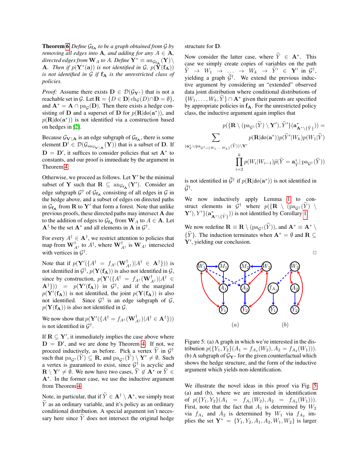**Theorem [6](#page-0-0)** *Define*  $G_{f_A}$  *to be a graph obtained from*  $G$  *by removing all edges into* **A***, and adding for any*  $A \in \mathbf{A}$ *,*  $\emph{directed edges from $\mathbf{W}_{A}$ to $A$. Define $\mathbf{Y}^{*} \equiv \operatorname{ang}_{\mathbf{f}_{\mathbf{A}}}(\mathbf{Y})$}\backslash$ **A**. Then if  $p(Y^*(a))$  is not identified in G,  $p(\tilde{Y}(f_A))$ *is not identified in G if*  $f_A$  *is the unrestricted class of policies.*

*Proof:* Assume there exists  $D \in \mathcal{D}(\mathcal{G}_{Y^*})$  that is not a reachable set in G. Let  $\mathbf{R} = \{D \in \mathbf{D} | \text{ch}_{G}(D) \cap \mathbf{D} = \emptyset\},\$ and  $\mathbf{A}^* = \mathbf{A} \cap \text{pa}_{\mathcal{G}}(\mathbf{D})$ . Then there exists a hedge consisting of **D** and a superset of **D** for  $p(\mathbf{R}|\text{do}(\mathbf{a}^*))$ , and  $p(\mathbf{R} | \text{do}(\mathbf{a}^*))$  is not identified via a construction based on hedges in [\[2\]](#page-6-0).

Because  $\mathcal{G}_{\mathbf{V}\setminus\mathbf{A}}$  is an edge subgraph of  $\mathcal{G}_{\mathbf{f}_{\mathbf{A}}}$ , there is some element  $\mathbf{D}' \in \mathcal{D}(\mathcal{G}_{\mathrm{an}_{\mathcal{G}_{\mathbf{V}\setminus\mathbf{A}}}}(\mathbf{Y}))$  that is a subset of  $\mathbf{D}$ . If  $\mathbf{D} = \mathbf{D}'$ , it suffices to consider policies that set  $\mathbf{A}^*$  to constants, and our proof is immediate by the argument in Theorem [4.](#page-0-0)

Otherwise, we proceed as follows. Let  $Y'$  be the minimal subset of **Y** such that  $\mathbf{R} \subseteq \text{ang}_{f_{\mathbf{A}}}(\mathbf{Y}')$ . Consider an edge subgraph  $G^{\dagger}$  of  $\mathcal{G}_{f_A}$  consisting of all edges in  $\mathcal{G}$  in the hedge above, and a subset of edges on directed paths in  $G_{f_A}$  from R to Y' that form a forest. Note that unlike previous proofs, these directed paths may intersect A due to the addition of edges to  $\mathcal{G}_{f_A}$  from  $\mathbf{W}_A$  to  $A \in \mathbf{A}$ . Let  $A^{\dagger}$  be the set  $A^*$  and all elements in A in  $\mathcal{G}^{\dagger}$ .

For every  $A^{\dagger} \in \mathbf{A}^{\dagger}$ , we restrict attention to policies that map from  $\mathbf{W}_{A^{\dagger}}^{\dagger}$  to  $A^{\dagger}$ , where  $\mathbf{W}_{A^{\dagger}}^{\dagger}$  is  $\mathbf{W}_{A^{\dagger}}$  intersected with vertices in  $\mathcal{G}^{\dagger}$ .

Note that if  $p(\mathbf{Y}'(\{A^{\dagger} = f_{A^{\dagger}}(\mathbf{W}_{A^{\dagger}}^{\dagger}) | A^{\dagger} \in \mathbf{A}^{\dagger}\}))$  is not identified in  $\mathcal{G}^{\dagger},$   $p(\mathbf{Y}(\mathbf{f}_{\mathbf{A}}))$  is also not identified in  $\mathcal{G},$ since by construction,  $p(\mathbf{Y}'(\{A^{\dagger} = f_{A^{\dagger}}(\mathbf{W}_{A^{\dagger}}^{\dagger})|A^{\dagger})\})$  $\mathbf{A}^{\dagger}$ }) =  $p(\mathbf{Y}'(\mathbf{f}_{\mathbf{A}}))$  in  $\mathcal{G}^{\dagger}$ , and if the marginal  $p(Y'(f_A))$  is not identified, the joint  $p(Y(f_A))$  is also not identified. Since  $G^{\dagger}$  is an edge subgraph of  $G$ ,  $p(Y(f_A))$  is also not identified in  $\mathcal{G}$ .

We now show that  $p(\mathbf{Y}'(\{A^{\dagger} = f_{A^{\dagger}}(\mathbf{W}_{A^{\dagger}}^{\dagger}) | A^{\dagger} \in \mathbf{A}^{\dagger}\}))$ is not identified in  $\mathcal{G}^{\dagger}$ .

If  $\mathbf{R} \subseteq \mathbf{Y}'$ , it immediately implies the case above where  $D = D'$ , and we are done by Theorem [4.](#page-0-0) If not, we proceed inductively, as before. Pick a vertex  $\tilde{Y}$  in  $\mathcal{G}^{\dagger}$ such that  $pa_{G^{\dagger}}(\widetilde{Y}) \subseteq \mathbf{R}$ , and  $pa_{G^{\dagger}}(\widetilde{Y}) \setminus \mathbf{Y}' \neq \emptyset$ . Such a vertex is guaranteed to exist, since  $\mathcal{G}^{\dagger}$  is acyclic and  $\mathbf{R} \setminus \mathbf{Y}' \neq \emptyset$ . We now have two cases,  $Y \notin \mathbf{A}^*$  or  $\overline{Y} \in \mathbf{A}$ A<sup>∗</sup> . In the former case, we use the inductive argument from Theorem [4.](#page-0-0)

Note, in particular, that if  $\widetilde{Y} \in \mathbf{A}^{\dagger} \setminus \mathbf{A}^*$ , we simply treat  $\widetilde{Y}$  as an ordinary variable, and it's policy as an ordinary conditional distribution. A special argument isn't necessary here since  $\tilde{Y}$  does not intersect the original hedge structure for D.

Now consider the latter case, where  $\widetilde{Y} \in \mathbf{A}^*$ . This case we simply create copies of variables on the path  $\widetilde{Y} \rightarrow W_1 \rightarrow \dots \rightarrow W_k \rightarrow \widetilde{Y}' \in \mathbf{Y}' \text{ in } \mathcal{G}^{\dagger},$ yielding a graph  $\tilde{\mathcal{G}}^{\dagger}$ . We extend the previous inductive argument by considering an "extended" observed data joint distribution where conditional distributions of  $\{W_1, \ldots, W_k, Y\} \cap \mathbf{A}^*$  given their parents are specified by appropriate policies in  $f_A$ . For the unrestricted policy class, the inductive argument again implies that

$$
p(\{\mathbf{R}\setminus(\text{pa}_{\mathcal{G}^{\dagger}}(\widetilde{Y})\setminus\mathbf{Y}'),\widetilde{Y}'\}(\mathbf{a}^*_{\mathbf{A}^*\setminus\{\widetilde{Y}\}})) = \sum_{\substack{\mathbf{X}\in\mathcal{G}^*\\ (\mathbf{a}^*_{\widetilde{Y}}\cup\text{pa}_{\mathcal{G}^{\dagger}\cup\{W_1,\ldots,W_k\}}(\widetilde{Y}))\setminus\mathbf{Y}'}} p(\mathbf{R}|\text{do}(\mathbf{a}^*))p(\widetilde{Y}'|W_k)p(W_1|\widetilde{Y})
$$

$$
\prod_{i=2}^k p(W_i|W_{i-1})\widetilde{p}(\widetilde{Y}=\mathbf{a}^*_{\widetilde{Y}}|\text{pa}_{\mathcal{G}^{\dagger}}(\widetilde{Y}))
$$

is not identified in  $\widetilde{\mathcal{G}}^{\dagger}$  if  $p(\mathbf{R}|\text{do}(\mathbf{a}^*))$  is not identified in  $\widetilde{\mathcal{G}}^{\dagger}$ .

We now inductively apply Lemma [1](#page-1-1) to construct elements in  $\mathcal{G}^{\dagger}$  where  $p(\lbrace \mathbf{R} \setminus (pa_{\mathcal{G}^{\dagger}}(\widetilde{Y}) \setminus \mathbf{M} \rbrace)$  $\{Y'\}, Y'\}$  ( $\mathbf{a}^*_{\mathbf{A}^*\setminus{\{\widetilde{Y}\}}}$ )) is not identified by Corollary [1.](#page-1-2)

We now redefine  $\mathbf{R} \equiv \mathbf{R} \setminus (pa_{G^{\dagger}}(\widetilde{Y}))$ , and  $\mathbf{A}^* \equiv \mathbf{A}^* \setminus$  ${Y}$ . The induction terminates when  ${\bf A}^* = \emptyset$  and  ${\bf R} \subseteq$  $Y'$ , yielding our conclusion.

<span id="page-4-0"></span>

Figure 5: (a) A graph in which we're interested in the distribution  $p({Y_1, Y_2}(A_1 = f_{A_1}(W_2), A_2 = f_{A_2}(W_1))).$ (b) A subgraph of  $\mathcal{G}_{Y^*}$  for the given counterfactual which shows the hedge structure, and the form of the inductive argument which yields non-identification.

We illustrate the novel ideas in this proof via Fig. [5](#page-4-0) (a) and (b), where we are interested in identification of  $p(\lbrace Y_1, Y_2 \rbrace (A_1 = f_{A_1}(W_2), A_2 = f_{A_2}(W_1))).$ First, note that the fact that  $A_1$  is determined by  $W_2$ via  $f_{A_1}$  and  $A_2$  is determined by  $W_1$  via  $f_{A_2}$  implies the set  $Y^* = \{Y_1, Y_2, A_1, A_2, W_1, W_2\}$  is larger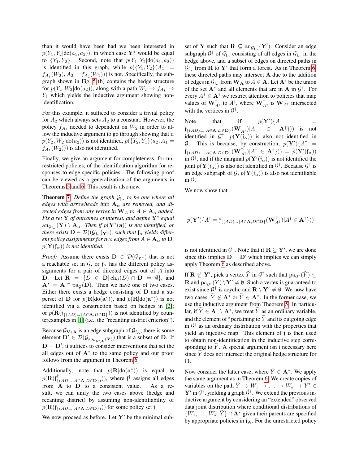than it would have been had we been interested in  $p(Y_1, Y_2 | do(a_1, a_2))$ , in which case Y<sup>\*</sup> would be equal to  ${Y_1, Y_2}$ . Second, note that  $p(Y_1, Y_2 | do(a_1, a_2))$ is identified in this graph, while  $p({Y_1, Y_2})/A_1$  =  $f_{A_1}(W_2), A_2 = f_{A_2}(W_1))$  is not. Specifically, the subgraph shown in Fig. [5](#page-4-0) (b) contains the hedge structure for  $p(Y_2, W_2 | \text{do}(a_2))$ , along with a path  $W_2 \rightarrow f_{A_1} \rightarrow$  $Y_1$  which yields the inductive argument showing nonidentification.

For this example, it sufficed to consider a trivial policy for  $A_2$  which always sets  $A_2$  to a constant. However, the policy  $f_{A_1}$  needed to dependent on  $W_2$  in order to allow the inductive argument to go through showing that if  $p(Y_2, W_2 | \text{do}(a_2))$  is not identified,  $p(\{Y_2, Y_1\}(a_2, A_1 =$  $f_{A_1}(W_2))$  is also not identified.

Finally, we give an argument for completeness, for unrestricted policies, of the identification algorithm for responses to edge-specific policies. The following proof can be viewed as a generalization of the arguments in Theorems [5](#page-0-0) and [6.](#page-0-0) This result is also new.

**Theorem [7](#page-0-0)** Define the graph  $\mathcal{G}_{f_\alpha}$  to be one where all *edges with arrowheads into*  $A_{\alpha}$  *are removed, and directed edges from any vertex in*  $W_A$  *to*  $A \in \mathbf{A}_{\alpha}$  *added. Fix a set* Y *of outcomes of interest, and define* Y<sup>∗</sup> *equal*  $\mathrm{an}_{\mathcal{G}_{\mathrm{f}\alpha}}(\mathbf{Y})\setminus\mathbf{A}_\alpha$ *. Then if*  $p(\mathbf{Y}^*(\mathbf{a}))$  *is not identified, or* there exists  $\mathbf{D}\in \mathcal{D}((\mathcal{G}_{\mathfrak{f}_{\alpha}})_{\mathbf{Y}^*})$ , such that  $\mathfrak{f}_{\alpha}$  yields differ*ent policy assignments for two edges from*  $A \in \mathbf{A}_{\alpha}$  *to*  $\mathbf{D}_{\alpha}$ *,*  $p(\mathbf{Y}(\mathfrak{f}_{\alpha}))$  *is not identified.* 

*Proof:* Assume there exists  $D \in \mathcal{D}(\mathcal{G}_{Y^*})$  that is not a reachable set in  $\mathcal{G}$ , or  $f_{\alpha}$  has the different policy assignments for a pair of directed edges out of A into D. Let  $\mathbf{R} = \{D \in \mathbf{D} | \text{ch}_{\mathcal{G}}(D) \cap \mathbf{D} = \emptyset \}$ , and  $A^* = A \cap pa_{\mathcal{G}}(D)$ . Then we have one of two cases. Either there exists a hedge consisting of D and a superset of **D** for  $p(\mathbf{R}|\text{do}(\mathbf{a}^*))$ , and  $p(\mathbf{R}|\text{do}(\mathbf{a}^*))$  is not identified via a construction based on hedges in [\[2\]](#page-6-0); or  $p(\mathbf{R}(f_{\{(AD) \rightarrow \exists A \in \mathbf{A}, D \in \mathbf{D}\}}))$  is not identified by counterexamples in [\[1\]](#page-6-1) (i.e., the "recanting district criterion").

Because  $\mathcal{G}_{\mathbf{V}\setminus\mathbf{A}}$  is an edge subgraph of  $\mathcal{G}_{f_{\mathbf{A}}}$ , there is some element  $\mathbf{D}' \in \mathcal{D}(\mathcal{G}_{\mathrm{an}_{\mathcal{G}_{\mathbf{V}\setminus\mathbf{A}}}(\mathbf{Y})})$  that is a subset of  $\mathbf{D}$ . If  $D = D'$ , it suffices to consider interventions that set the all edges out of  $A^*$  to the same policy and our proof follows from the argument in Theorem [6.](#page-0-0)

Additionally, note that  $p(\mathbf{R}|\text{do}(\mathbf{a}^*))$  is equal to  $p(\mathbf{R}(\mathfrak{f}^{\dagger}_{f}% ,\mathbf{I}_{f}^{\dagger}% ,\mathbf{I}_{f}^{\dagger}_{f})\equiv p(\mathbf{I}_{f}(\mathbf{I}_{f}^{\dagger}_{f}% ,\mathbf{I}_{f}^{\dagger}_{f}^{\dagger}% ,\mathbf{I}_{f}^{\dagger}_{f}))$  $({_{A D_{\rightarrow} | A \in \mathbf{A}, D \in \mathbf{D}}})$ ), where  $f^{\dagger}$  assigns all edges from  $\overrightarrow{A}$  to  $\overrightarrow{D}$  to a consistent value. As a result, we can unify the two cases above (hedge and recanting district) by assuming non-identifiability of  $p(\mathbf{R}(\mathfrak{f}_{\{(AD_{\rightarrow}|A\in\mathbf{A},D\in\mathbf{D}\})}))$  for some policy set f.

We now proceed as before. Let  $Y'$  be the minimal sub-

set of **Y** such that  $\mathbf{R} \subseteq \mathrm{an}_{\mathcal{G}_{f_\alpha}}(\mathbf{Y}').$  Consider an edge subgraph  $\mathcal{G}^{\dagger}$  of  $\mathcal{G}_{f_{\alpha}}$  consisting of all edges in  $\mathcal{G}_{f_{\alpha}}$  in the hedge above, and a subset of edges on directed paths in  $\mathcal{G}_{\mathfrak{f}_{\alpha}}$  from **R** to **Y**' that form a forest. As in Theorem [6,](#page-0-0) these directed paths may intersect A due to the addition of edges in  $\mathcal{G}_{\mathfrak{f}_{\alpha}}$  from  $\mathbf{W}_{\mathbf{A}}$  to  $A \in \mathbf{A}$ . Let  $\mathbf{A}^{\dagger}$  be the union of the set  $A^*$  and all elements that are in A in  $\mathcal{G}^{\dagger}$ . For every  $A^{\dagger} \in \mathbf{A}^{\dagger}$  we restrict attention to policies that map values of  $\mathbf{W}_{A^{\dagger}}^{\dagger}$  to  $A^{\dagger}$ , where  $\mathbf{W}_{A^{\dagger}}^{\dagger}$  is  $\mathbf{W}_{A^{\dagger}}$  intersected with the vertices in  $\mathcal{G}^{\dagger}$ .

Note that if  $p(Y'(\lbrace A^{\dagger} \rbrace))$  =  $\mathfrak{f}_{\{(AD)_\rightarrow | A\in \mathbf{A}, D\in \mathbf{D}\}}(\mathbf{W}_{A^\dagger}^\dagger)|A^\dagger\quad \in \quad \mathbf{A}^\dagger\}))$  is not identified in  $\mathcal{G}^{\dagger}$ ,  $p(\mathbf{Y}(\mathfrak{f}_{\alpha}))$  is also not identified in G. This is because, by construction,  $p(Y'(\lbrace A^{\dagger} \rbrace))$  $f_{\{(AD)_{\rightarrow}|A\in\mathbf{A},D\in\mathbf{D}\}}(\mathbf{W}_{A^{\dagger}}^{\dagger})|A^{\dagger} \in \mathbf{A}^{\dagger}\}) = p(\mathbf{Y}'(\mathfrak{f}_{\alpha}))$ in  $\mathcal{G}^{\dagger}$ , and if the marginal  $p(\mathbf{Y}'(\mathfrak{f}_{\alpha}))$  is not identified the joint  $p(\mathbf{Y}(\mathfrak{f}_{\alpha}))$  is also not identified in  $\mathcal{G}^{\dagger}$ . Because  $\mathcal{G}^{\dagger}$  is an edge subgraph of G,  $p(Y(f_{\alpha}))$  is also not identifiable in  $\mathcal G$ .

We now show that

$$
p(\mathbf{Y}'(\{A^{\dagger}=\mathfrak{f}_{\{(AD) \rightarrow} | A \in \mathbf{A}, D \in \mathbf{D}\}}(\mathbf{W}_{A^{\dagger}}^{\dagger}) | A^{\dagger} \in \mathbf{A}^{\dagger}\}))
$$

is not identified in  $\mathcal{G}^{\dagger}$ . Note that if  $\mathbf{R} \subseteq \mathbf{Y}'$ , we are done since this implies  $D = D'$  which implies we can simply apply Theorem [6](#page-0-0) as described above.

If  $\mathbf{R} \not\subseteq \mathbf{Y}'$ , pick a vertex  $\tilde{Y}$  in  $\mathcal{G}^{\dagger}$  such that  $\text{pa}_{\mathcal{G}^{\dagger}}(\tilde{Y}) \subseteq$ **R** and  $pa_{G^{\dagger}}(\tilde{Y}) \setminus Y' \neq \emptyset$ . Such a vertex is guaranteed to exist since  $\mathcal{G}^{\dagger}$  is acyclic and  $\mathbf{R} \setminus \mathbf{Y}' \neq \emptyset$ . We now have two cases,  $\tilde{Y} \notin \mathbf{A}^*$  or  $\tilde{Y} \in \mathbf{A}^*$ . In the former case, we use the inductive argument from Theorem [5.](#page-0-0) In particular, if  $\tilde{Y} \in \mathbf{A}^{\dagger} \setminus \mathbf{A}^*$ , we treat  $\tilde{Y}$  as an ordinary variable, and the element of f pertaining to  $\widetilde{Y}$  and its outgoing edge in  $\mathcal{G}^{\dagger}$  as an ordinary distribution with the properties that yield an injective map. This element of f is then used to obtain non-identification in the inductive step corresponding to  $Y$ . A special argument isn't necessary here since  $Y$  does not intersect the original hedge structure for D.

Now consider the latter case, where  $\widetilde{Y} \in \mathbf{A}^*$ . We apply the same argument as in Theorem [6.](#page-0-0) We create copies of variables on the path  $\widetilde{Y} \to W_1 \to \ldots \to W_k \to \widetilde{Y}' \in$  $\mathbf{Y}'$  in  $\mathcal{G}^{\dagger}$ , yielding a graph  $\tilde{\mathcal{G}}^{\dagger}$ . We extend the previous inductive argument by considering an "extended" observed data joint distribution where conditional distributions of  $\{W_1, \ldots, W_k, Y\} \cap \mathbf{A}^*$  given their parents are specified by appropriate policies in  $f_{\mathbf{A}}$ . For the unrestricted policy